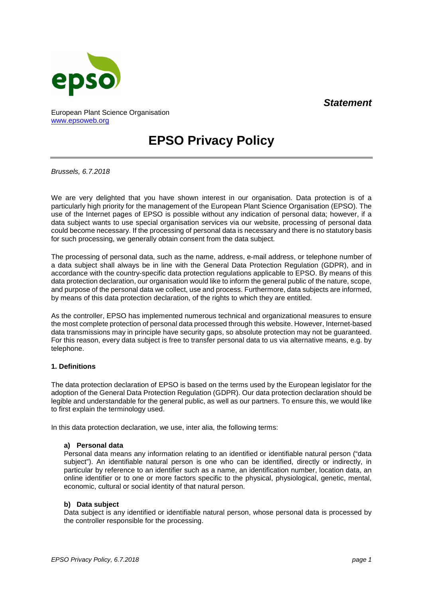# *Statement*



European Plant Science Organisation [www.epsoweb.org](http://www.epsoweb.org/)

# **EPSO Privacy Policy**

*Brussels, 6.7.2018*

We are very delighted that you have shown interest in our organisation. Data protection is of a particularly high priority for the management of the European Plant Science Organisation (EPSO). The use of the Internet pages of EPSO is possible without any indication of personal data; however, if a data subject wants to use special organisation services via our website, processing of personal data could become necessary. If the processing of personal data is necessary and there is no statutory basis for such processing, we generally obtain consent from the data subject.

The processing of personal data, such as the name, address, e-mail address, or telephone number of a data subject shall always be in line with the General Data Protection Regulation (GDPR), and in accordance with the country-specific data protection regulations applicable to EPSO. By means of this data protection declaration, our organisation would like to inform the general public of the nature, scope, and purpose of the personal data we collect, use and process. Furthermore, data subjects are informed, by means of this data protection declaration, of the rights to which they are entitled.

As the controller, EPSO has implemented numerous technical and organizational measures to ensure the most complete protection of personal data processed through this website. However, Internet-based data transmissions may in principle have security gaps, so absolute protection may not be guaranteed. For this reason, every data subject is free to transfer personal data to us via alternative means, e.g. by telephone.

# **1. Definitions**

The data protection declaration of EPSO is based on the terms used by the European legislator for the adoption of the General Data Protection Regulation (GDPR). Our data protection declaration should be legible and understandable for the general public, as well as our partners. To ensure this, we would like to first explain the terminology used.

In this data protection declaration, we use, inter alia, the following terms:

#### **a) Personal data**

Personal data means any information relating to an identified or identifiable natural person ("data subject"). An identifiable natural person is one who can be identified, directly or indirectly, in particular by reference to an identifier such as a name, an identification number, location data, an online identifier or to one or more factors specific to the physical, physiological, genetic, mental, economic, cultural or social identity of that natural person.

#### **b) Data subject**

Data subject is any identified or identifiable natural person, whose personal data is processed by the controller responsible for the processing.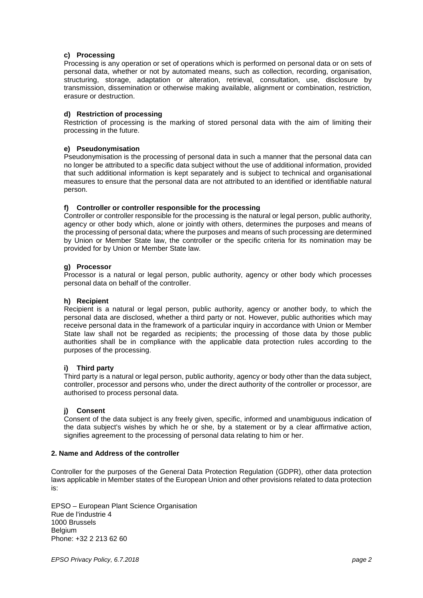# **c) Processing**

Processing is any operation or set of operations which is performed on personal data or on sets of personal data, whether or not by automated means, such as collection, recording, organisation, structuring, storage, adaptation or alteration, retrieval, consultation, use, disclosure by transmission, dissemination or otherwise making available, alignment or combination, restriction, erasure or destruction.

# **d) Restriction of processing**

Restriction of processing is the marking of stored personal data with the aim of limiting their processing in the future.

# **e) Pseudonymisation**

Pseudonymisation is the processing of personal data in such a manner that the personal data can no longer be attributed to a specific data subject without the use of additional information, provided that such additional information is kept separately and is subject to technical and organisational measures to ensure that the personal data are not attributed to an identified or identifiable natural person.

# **f) Controller or controller responsible for the processing**

Controller or controller responsible for the processing is the natural or legal person, public authority, agency or other body which, alone or jointly with others, determines the purposes and means of the processing of personal data; where the purposes and means of such processing are determined by Union or Member State law, the controller or the specific criteria for its nomination may be provided for by Union or Member State law.

# **g) Processor**

Processor is a natural or legal person, public authority, agency or other body which processes personal data on behalf of the controller.

#### **h) Recipient**

Recipient is a natural or legal person, public authority, agency or another body, to which the personal data are disclosed, whether a third party or not. However, public authorities which may receive personal data in the framework of a particular inquiry in accordance with Union or Member State law shall not be regarded as recipients; the processing of those data by those public authorities shall be in compliance with the applicable data protection rules according to the purposes of the processing.

# **i) Third party**

Third party is a natural or legal person, public authority, agency or body other than the data subject, controller, processor and persons who, under the direct authority of the controller or processor, are authorised to process personal data.

# **j) Consent**

Consent of the data subject is any freely given, specific, informed and unambiguous indication of the data subject's wishes by which he or she, by a statement or by a clear affirmative action, signifies agreement to the processing of personal data relating to him or her.

#### **2. Name and Address of the controller**

Controller for the purposes of the General Data Protection Regulation (GDPR), other data protection laws applicable in Member states of the European Union and other provisions related to data protection is:

EPSO – European Plant Science Organisation Rue de l'industrie 4 1000 Brussels **Belgium** Phone: +32 2 213 62 60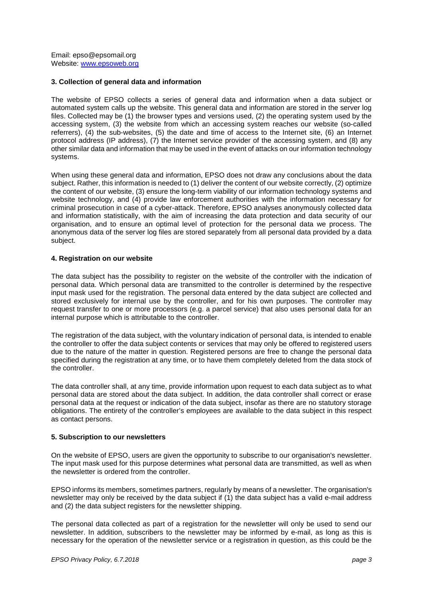Email: epso@epsomail.org Website: [www.epsoweb.org](http://www.epsoweb.org/)

#### **3. Collection of general data and information**

The website of EPSO collects a series of general data and information when a data subject or automated system calls up the website. This general data and information are stored in the server log files. Collected may be (1) the browser types and versions used, (2) the operating system used by the accessing system, (3) the website from which an accessing system reaches our website (so-called referrers), (4) the sub-websites, (5) the date and time of access to the Internet site, (6) an Internet protocol address (IP address), (7) the Internet service provider of the accessing system, and (8) any other similar data and information that may be used in the event of attacks on our information technology systems.

When using these general data and information, EPSO does not draw any conclusions about the data subject. Rather, this information is needed to (1) deliver the content of our website correctly, (2) optimize the content of our website, (3) ensure the long-term viability of our information technology systems and website technology, and (4) provide law enforcement authorities with the information necessary for criminal prosecution in case of a cyber-attack. Therefore, EPSO analyses anonymously collected data and information statistically, with the aim of increasing the data protection and data security of our organisation, and to ensure an optimal level of protection for the personal data we process. The anonymous data of the server log files are stored separately from all personal data provided by a data subject.

#### **4. Registration on our website**

The data subject has the possibility to register on the website of the controller with the indication of personal data. Which personal data are transmitted to the controller is determined by the respective input mask used for the registration. The personal data entered by the data subject are collected and stored exclusively for internal use by the controller, and for his own purposes. The controller may request transfer to one or more processors (e.g. a parcel service) that also uses personal data for an internal purpose which is attributable to the controller.

The registration of the data subject, with the voluntary indication of personal data, is intended to enable the controller to offer the data subject contents or services that may only be offered to registered users due to the nature of the matter in question. Registered persons are free to change the personal data specified during the registration at any time, or to have them completely deleted from the data stock of the controller.

The data controller shall, at any time, provide information upon request to each data subject as to what personal data are stored about the data subject. In addition, the data controller shall correct or erase personal data at the request or indication of the data subject, insofar as there are no statutory storage obligations. The entirety of the controller's employees are available to the data subject in this respect as contact persons.

#### **5. Subscription to our newsletters**

On the website of EPSO, users are given the opportunity to subscribe to our organisation's newsletter. The input mask used for this purpose determines what personal data are transmitted, as well as when the newsletter is ordered from the controller.

EPSO informs its members, sometimes partners, regularly by means of a newsletter. The organisation's newsletter may only be received by the data subject if (1) the data subject has a valid e-mail address and (2) the data subject registers for the newsletter shipping.

The personal data collected as part of a registration for the newsletter will only be used to send our newsletter. In addition, subscribers to the newsletter may be informed by e-mail, as long as this is necessary for the operation of the newsletter service or a registration in question, as this could be the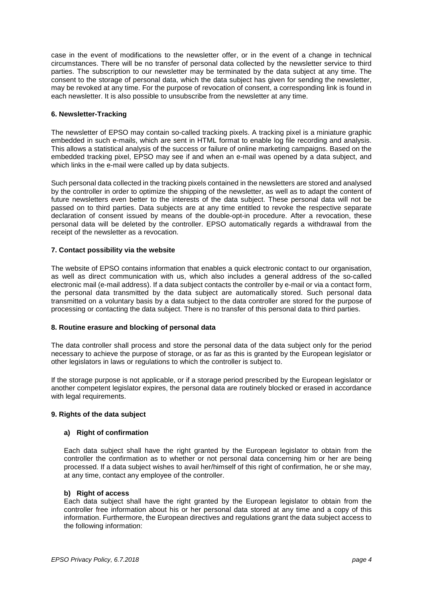case in the event of modifications to the newsletter offer, or in the event of a change in technical circumstances. There will be no transfer of personal data collected by the newsletter service to third parties. The subscription to our newsletter may be terminated by the data subject at any time. The consent to the storage of personal data, which the data subject has given for sending the newsletter, may be revoked at any time. For the purpose of revocation of consent, a corresponding link is found in each newsletter. It is also possible to unsubscribe from the newsletter at any time.

# **6. Newsletter-Tracking**

The newsletter of EPSO may contain so-called tracking pixels. A tracking pixel is a miniature graphic embedded in such e-mails, which are sent in HTML format to enable log file recording and analysis. This allows a statistical analysis of the success or failure of online marketing campaigns. Based on the embedded tracking pixel, EPSO may see if and when an e-mail was opened by a data subject, and which links in the e-mail were called up by data subjects.

Such personal data collected in the tracking pixels contained in the newsletters are stored and analysed by the controller in order to optimize the shipping of the newsletter, as well as to adapt the content of future newsletters even better to the interests of the data subject. These personal data will not be passed on to third parties. Data subjects are at any time entitled to revoke the respective separate declaration of consent issued by means of the double-opt-in procedure. After a revocation, these personal data will be deleted by the controller. EPSO automatically regards a withdrawal from the receipt of the newsletter as a revocation.

# **7. Contact possibility via the website**

The website of EPSO contains information that enables a quick electronic contact to our organisation, as well as direct communication with us, which also includes a general address of the so-called electronic mail (e-mail address). If a data subject contacts the controller by e-mail or via a contact form, the personal data transmitted by the data subject are automatically stored. Such personal data transmitted on a voluntary basis by a data subject to the data controller are stored for the purpose of processing or contacting the data subject. There is no transfer of this personal data to third parties.

#### **8. Routine erasure and blocking of personal data**

The data controller shall process and store the personal data of the data subject only for the period necessary to achieve the purpose of storage, or as far as this is granted by the European legislator or other legislators in laws or regulations to which the controller is subject to.

If the storage purpose is not applicable, or if a storage period prescribed by the European legislator or another competent legislator expires, the personal data are routinely blocked or erased in accordance with legal requirements.

#### **9. Rights of the data subject**

#### **a) Right of confirmation**

Each data subject shall have the right granted by the European legislator to obtain from the controller the confirmation as to whether or not personal data concerning him or her are being processed. If a data subject wishes to avail her/himself of this right of confirmation, he or she may, at any time, contact any employee of the controller.

#### **b) Right of access**

Each data subject shall have the right granted by the European legislator to obtain from the controller free information about his or her personal data stored at any time and a copy of this information. Furthermore, the European directives and regulations grant the data subject access to the following information: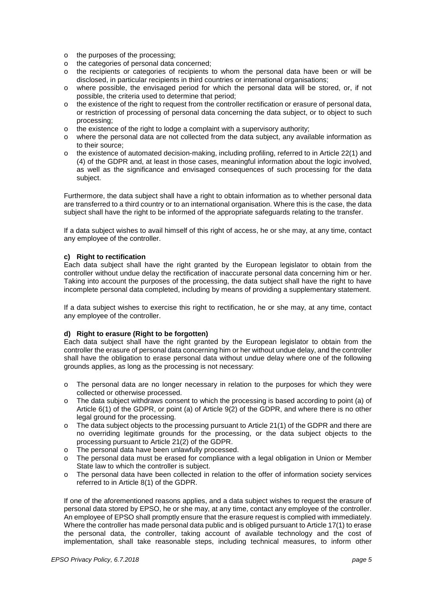- o the purposes of the processing;
- o the categories of personal data concerned;<br>o the recipients or categories of recipients to
- the recipients or categories of recipients to whom the personal data have been or will be disclosed, in particular recipients in third countries or international organisations;
- o where possible, the envisaged period for which the personal data will be stored, or, if not possible, the criteria used to determine that period;
- o the existence of the right to request from the controller rectification or erasure of personal data, or restriction of processing of personal data concerning the data subject, or to object to such processing;
- o the existence of the right to lodge a complaint with a supervisory authority;
- o where the personal data are not collected from the data subject, any available information as to their source;
- $\circ$  the existence of automated decision-making, including profiling, referred to in Article 22(1) and (4) of the GDPR and, at least in those cases, meaningful information about the logic involved, as well as the significance and envisaged consequences of such processing for the data subject.

Furthermore, the data subject shall have a right to obtain information as to whether personal data are transferred to a third country or to an international organisation. Where this is the case, the data subject shall have the right to be informed of the appropriate safeguards relating to the transfer.

If a data subject wishes to avail himself of this right of access, he or she may, at any time, contact any employee of the controller.

#### **c) Right to rectification**

Each data subject shall have the right granted by the European legislator to obtain from the controller without undue delay the rectification of inaccurate personal data concerning him or her. Taking into account the purposes of the processing, the data subject shall have the right to have incomplete personal data completed, including by means of providing a supplementary statement.

If a data subject wishes to exercise this right to rectification, he or she may, at any time, contact any employee of the controller.

#### **d) Right to erasure (Right to be forgotten)**

Each data subject shall have the right granted by the European legislator to obtain from the controller the erasure of personal data concerning him or her without undue delay, and the controller shall have the obligation to erase personal data without undue delay where one of the following grounds applies, as long as the processing is not necessary:

- $\circ$  The personal data are no longer necessary in relation to the purposes for which they were collected or otherwise processed.
- o The data subject withdraws consent to which the processing is based according to point (a) of Article 6(1) of the GDPR, or point (a) of Article 9(2) of the GDPR, and where there is no other legal ground for the processing.
- o The data subject objects to the processing pursuant to Article 21(1) of the GDPR and there are no overriding legitimate grounds for the processing, or the data subject objects to the processing pursuant to Article 21(2) of the GDPR.
- o The personal data have been unlawfully processed.
- o The personal data must be erased for compliance with a legal obligation in Union or Member State law to which the controller is subject.
- o The personal data have been collected in relation to the offer of information society services referred to in Article 8(1) of the GDPR.

If one of the aforementioned reasons applies, and a data subject wishes to request the erasure of personal data stored by EPSO, he or she may, at any time, contact any employee of the controller. An employee of EPSO shall promptly ensure that the erasure request is complied with immediately. Where the controller has made personal data public and is obliged pursuant to Article 17(1) to erase the personal data, the controller, taking account of available technology and the cost of implementation, shall take reasonable steps, including technical measures, to inform other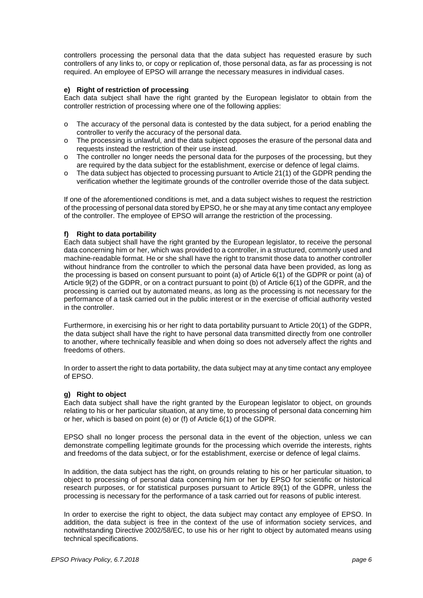controllers processing the personal data that the data subject has requested erasure by such controllers of any links to, or copy or replication of, those personal data, as far as processing is not required. An employee of EPSO will arrange the necessary measures in individual cases.

#### **e) Right of restriction of processing**

Each data subject shall have the right granted by the European legislator to obtain from the controller restriction of processing where one of the following applies:

- $\circ$  The accuracy of the personal data is contested by the data subject, for a period enabling the controller to verify the accuracy of the personal data.
- $\circ$  The processing is unlawful, and the data subject opposes the erasure of the personal data and requests instead the restriction of their use instead.
- $\circ$  The controller no longer needs the personal data for the purposes of the processing, but they are required by the data subject for the establishment, exercise or defence of legal claims.
- $\circ$  The data subject has objected to processing pursuant to Article 21(1) of the GDPR pending the verification whether the legitimate grounds of the controller override those of the data subject.

If one of the aforementioned conditions is met, and a data subject wishes to request the restriction of the processing of personal data stored by EPSO, he or she may at any time contact any employee of the controller. The employee of EPSO will arrange the restriction of the processing.

# **f) Right to data portability**

Each data subject shall have the right granted by the European legislator, to receive the personal data concerning him or her, which was provided to a controller, in a structured, commonly used and machine-readable format. He or she shall have the right to transmit those data to another controller without hindrance from the controller to which the personal data have been provided, as long as the processing is based on consent pursuant to point (a) of Article 6(1) of the GDPR or point (a) of Article 9(2) of the GDPR, or on a contract pursuant to point (b) of Article 6(1) of the GDPR, and the processing is carried out by automated means, as long as the processing is not necessary for the performance of a task carried out in the public interest or in the exercise of official authority vested in the controller.

Furthermore, in exercising his or her right to data portability pursuant to Article 20(1) of the GDPR, the data subject shall have the right to have personal data transmitted directly from one controller to another, where technically feasible and when doing so does not adversely affect the rights and freedoms of others.

In order to assert the right to data portability, the data subject may at any time contact any employee of EPSO.

# **g) Right to object**

Each data subject shall have the right granted by the European legislator to object, on grounds relating to his or her particular situation, at any time, to processing of personal data concerning him or her, which is based on point (e) or (f) of Article 6(1) of the GDPR.

EPSO shall no longer process the personal data in the event of the objection, unless we can demonstrate compelling legitimate grounds for the processing which override the interests, rights and freedoms of the data subject, or for the establishment, exercise or defence of legal claims.

In addition, the data subject has the right, on grounds relating to his or her particular situation, to object to processing of personal data concerning him or her by EPSO for scientific or historical research purposes, or for statistical purposes pursuant to Article 89(1) of the GDPR, unless the processing is necessary for the performance of a task carried out for reasons of public interest.

In order to exercise the right to object, the data subject may contact any employee of EPSO. In addition, the data subject is free in the context of the use of information society services, and notwithstanding Directive 2002/58/EC, to use his or her right to object by automated means using technical specifications.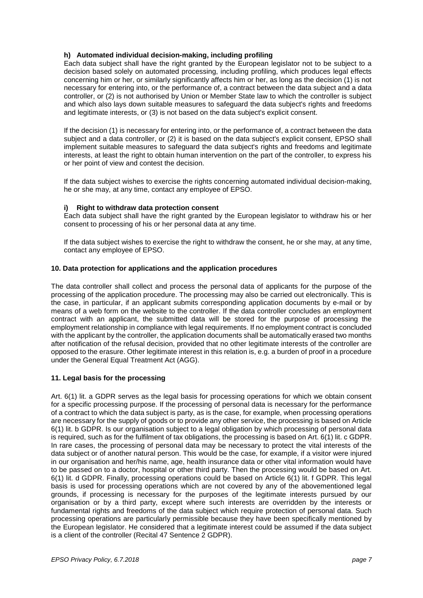# **h) Automated individual decision-making, including profiling**

Each data subject shall have the right granted by the European legislator not to be subject to a decision based solely on automated processing, including profiling, which produces legal effects concerning him or her, or similarly significantly affects him or her, as long as the decision (1) is not necessary for entering into, or the performance of, a contract between the data subject and a data controller, or (2) is not authorised by Union or Member State law to which the controller is subject and which also lays down suitable measures to safeguard the data subject's rights and freedoms and legitimate interests, or (3) is not based on the data subject's explicit consent.

If the decision (1) is necessary for entering into, or the performance of, a contract between the data subject and a data controller, or (2) it is based on the data subject's explicit consent, EPSO shall implement suitable measures to safeguard the data subject's rights and freedoms and legitimate interests, at least the right to obtain human intervention on the part of the controller, to express his or her point of view and contest the decision.

If the data subject wishes to exercise the rights concerning automated individual decision-making, he or she may, at any time, contact any employee of EPSO.

# **i) Right to withdraw data protection consent**

Each data subject shall have the right granted by the European legislator to withdraw his or her consent to processing of his or her personal data at any time.

If the data subject wishes to exercise the right to withdraw the consent, he or she may, at any time, contact any employee of EPSO.

# **10. Data protection for applications and the application procedures**

The data controller shall collect and process the personal data of applicants for the purpose of the processing of the application procedure. The processing may also be carried out electronically. This is the case, in particular, if an applicant submits corresponding application documents by e-mail or by means of a web form on the website to the controller. If the data controller concludes an employment contract with an applicant, the submitted data will be stored for the purpose of processing the employment relationship in compliance with legal requirements. If no employment contract is concluded with the applicant by the controller, the application documents shall be automatically erased two months after notification of the refusal decision, provided that no other legitimate interests of the controller are opposed to the erasure. Other legitimate interest in this relation is, e.g. a burden of proof in a procedure under the General Equal Treatment Act (AGG).

# **11. Legal basis for the processing**

Art. 6(1) lit. a GDPR serves as the legal basis for processing operations for which we obtain consent for a specific processing purpose. If the processing of personal data is necessary for the performance of a contract to which the data subject is party, as is the case, for example, when processing operations are necessary for the supply of goods or to provide any other service, the processing is based on Article 6(1) lit. b GDPR. Is our organisation subject to a legal obligation by which processing of personal data is required, such as for the fulfilment of tax obligations, the processing is based on Art. 6(1) lit. c GDPR. In rare cases, the processing of personal data may be necessary to protect the vital interests of the data subject or of another natural person. This would be the case, for example, if a visitor were injured in our organisation and her/his name, age, health insurance data or other vital information would have to be passed on to a doctor, hospital or other third party. Then the processing would be based on Art. 6(1) lit. d GDPR. Finally, processing operations could be based on Article 6(1) lit. f GDPR. This legal basis is used for processing operations which are not covered by any of the abovementioned legal grounds, if processing is necessary for the purposes of the legitimate interests pursued by our organisation or by a third party, except where such interests are overridden by the interests or fundamental rights and freedoms of the data subject which require protection of personal data. Such processing operations are particularly permissible because they have been specifically mentioned by the European legislator. He considered that a legitimate interest could be assumed if the data subject is a client of the controller (Recital 47 Sentence 2 GDPR).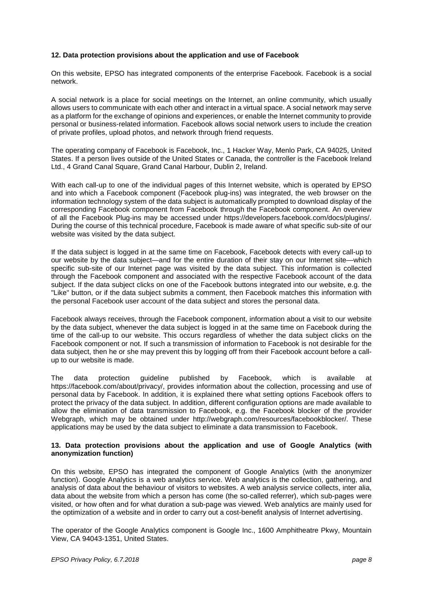# **12. Data protection provisions about the application and use of Facebook**

On this website, EPSO has integrated components of the enterprise Facebook. Facebook is a social network.

A social network is a place for social meetings on the Internet, an online community, which usually allows users to communicate with each other and interact in a virtual space. A social network may serve as a platform for the exchange of opinions and experiences, or enable the Internet community to provide personal or business-related information. Facebook allows social network users to include the creation of private profiles, upload photos, and network through friend requests.

The operating company of Facebook is Facebook, Inc., 1 Hacker Way, Menlo Park, CA 94025, United States. If a person lives outside of the United States or Canada, the controller is the Facebook Ireland Ltd., 4 Grand Canal Square, Grand Canal Harbour, Dublin 2, Ireland.

With each call-up to one of the individual pages of this Internet website, which is operated by EPSO and into which a Facebook component (Facebook plug-ins) was integrated, the web browser on the information technology system of the data subject is automatically prompted to download display of the corresponding Facebook component from Facebook through the Facebook component. An overview of all the Facebook Plug-ins may be accessed under https://developers.facebook.com/docs/plugins/. During the course of this technical procedure, Facebook is made aware of what specific sub-site of our website was visited by the data subject.

If the data subject is logged in at the same time on Facebook, Facebook detects with every call-up to our website by the data subject—and for the entire duration of their stay on our Internet site—which specific sub-site of our Internet page was visited by the data subject. This information is collected through the Facebook component and associated with the respective Facebook account of the data subject. If the data subject clicks on one of the Facebook buttons integrated into our website, e.g. the "Like" button, or if the data subject submits a comment, then Facebook matches this information with the personal Facebook user account of the data subject and stores the personal data.

Facebook always receives, through the Facebook component, information about a visit to our website by the data subject, whenever the data subject is logged in at the same time on Facebook during the time of the call-up to our website. This occurs regardless of whether the data subject clicks on the Facebook component or not. If such a transmission of information to Facebook is not desirable for the data subject, then he or she may prevent this by logging off from their Facebook account before a callup to our website is made.

The data protection guideline published by Facebook, which is available at https://facebook.com/about/privacy/, provides information about the collection, processing and use of personal data by Facebook. In addition, it is explained there what setting options Facebook offers to protect the privacy of the data subject. In addition, different configuration options are made available to allow the elimination of data transmission to Facebook, e.g. the Facebook blocker of the provider Webgraph, which may be obtained under http://webgraph.com/resources/facebookblocker/. These applications may be used by the data subject to eliminate a data transmission to Facebook.

#### **13. Data protection provisions about the application and use of Google Analytics (with anonymization function)**

On this website, EPSO has integrated the component of Google Analytics (with the anonymizer function). Google Analytics is a web analytics service. Web analytics is the collection, gathering, and analysis of data about the behaviour of visitors to websites. A web analysis service collects, inter alia, data about the website from which a person has come (the so-called referrer), which sub-pages were visited, or how often and for what duration a sub-page was viewed. Web analytics are mainly used for the optimization of a website and in order to carry out a cost-benefit analysis of Internet advertising.

The operator of the Google Analytics component is Google Inc., 1600 Amphitheatre Pkwy, Mountain View, CA 94043-1351, United States.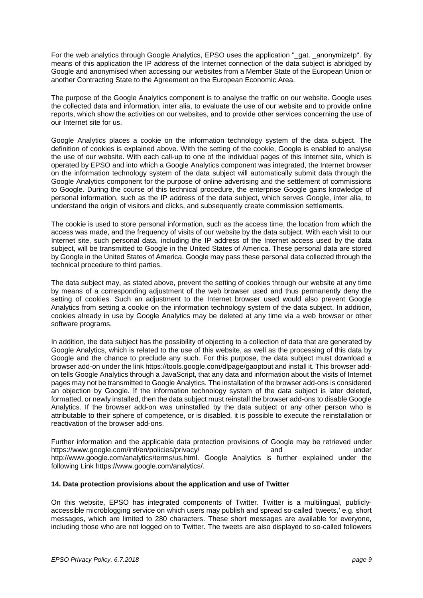For the web analytics through Google Analytics, EPSO uses the application "\_gat. \_anonymizeIp". By means of this application the IP address of the Internet connection of the data subject is abridged by Google and anonymised when accessing our websites from a Member State of the European Union or another Contracting State to the Agreement on the European Economic Area.

The purpose of the Google Analytics component is to analyse the traffic on our website. Google uses the collected data and information, inter alia, to evaluate the use of our website and to provide online reports, which show the activities on our websites, and to provide other services concerning the use of our Internet site for us.

Google Analytics places a cookie on the information technology system of the data subject. The definition of cookies is explained above. With the setting of the cookie, Google is enabled to analyse the use of our website. With each call-up to one of the individual pages of this Internet site, which is operated by EPSO and into which a Google Analytics component was integrated, the Internet browser on the information technology system of the data subject will automatically submit data through the Google Analytics component for the purpose of online advertising and the settlement of commissions to Google. During the course of this technical procedure, the enterprise Google gains knowledge of personal information, such as the IP address of the data subject, which serves Google, inter alia, to understand the origin of visitors and clicks, and subsequently create commission settlements.

The cookie is used to store personal information, such as the access time, the location from which the access was made, and the frequency of visits of our website by the data subject. With each visit to our Internet site, such personal data, including the IP address of the Internet access used by the data subject, will be transmitted to Google in the United States of America. These personal data are stored by Google in the United States of America. Google may pass these personal data collected through the technical procedure to third parties.

The data subject may, as stated above, prevent the setting of cookies through our website at any time by means of a corresponding adjustment of the web browser used and thus permanently deny the setting of cookies. Such an adjustment to the Internet browser used would also prevent Google Analytics from setting a cookie on the information technology system of the data subject. In addition, cookies already in use by Google Analytics may be deleted at any time via a web browser or other software programs.

In addition, the data subject has the possibility of objecting to a collection of data that are generated by Google Analytics, which is related to the use of this website, as well as the processing of this data by Google and the chance to preclude any such. For this purpose, the data subject must download a browser add-on under the link https://tools.google.com/dlpage/gaoptout and install it. This browser addon tells Google Analytics through a JavaScript, that any data and information about the visits of Internet pages may not be transmitted to Google Analytics. The installation of the browser add-ons is considered an objection by Google. If the information technology system of the data subject is later deleted, formatted, or newly installed, then the data subject must reinstall the browser add-ons to disable Google Analytics. If the browser add-on was uninstalled by the data subject or any other person who is attributable to their sphere of competence, or is disabled, it is possible to execute the reinstallation or reactivation of the browser add-ons.

Further information and the applicable data protection provisions of Google may be retrieved under<br>https://www.google.com/intl/en/policies/privacy/ and and https://www.google.com/intl/en/policies/privacy/ and and http://www.google.com/analytics/terms/us.html. Google Analytics is further explained under the following Link https://www.google.com/analytics/.

#### **14. Data protection provisions about the application and use of Twitter**

On this website, EPSO has integrated components of Twitter. Twitter is a multilingual, publiclyaccessible microblogging service on which users may publish and spread so-called 'tweets,' e.g. short messages, which are limited to 280 characters. These short messages are available for everyone, including those who are not logged on to Twitter. The tweets are also displayed to so-called followers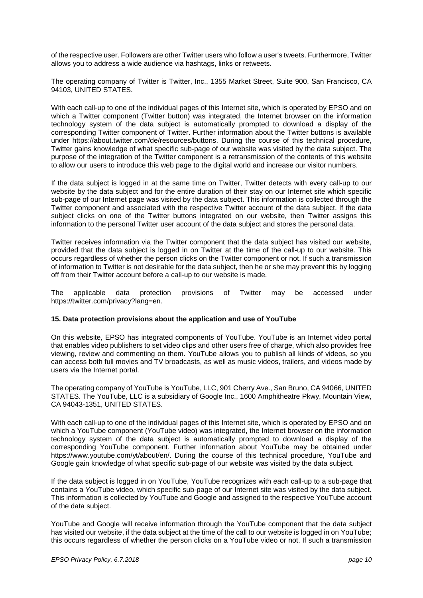of the respective user. Followers are other Twitter users who follow a user's tweets. Furthermore, Twitter allows you to address a wide audience via hashtags, links or retweets.

The operating company of Twitter is Twitter, Inc., 1355 Market Street, Suite 900, San Francisco, CA 94103, UNITED STATES.

With each call-up to one of the individual pages of this Internet site, which is operated by EPSO and on which a Twitter component (Twitter button) was integrated, the Internet browser on the information technology system of the data subject is automatically prompted to download a display of the corresponding Twitter component of Twitter. Further information about the Twitter buttons is available under https://about.twitter.com/de/resources/buttons. During the course of this technical procedure, Twitter gains knowledge of what specific sub-page of our website was visited by the data subject. The purpose of the integration of the Twitter component is a retransmission of the contents of this website to allow our users to introduce this web page to the digital world and increase our visitor numbers.

If the data subject is logged in at the same time on Twitter, Twitter detects with every call-up to our website by the data subject and for the entire duration of their stay on our Internet site which specific sub-page of our Internet page was visited by the data subject. This information is collected through the Twitter component and associated with the respective Twitter account of the data subject. If the data subject clicks on one of the Twitter buttons integrated on our website, then Twitter assigns this information to the personal Twitter user account of the data subject and stores the personal data.

Twitter receives information via the Twitter component that the data subject has visited our website, provided that the data subject is logged in on Twitter at the time of the call-up to our website. This occurs regardless of whether the person clicks on the Twitter component or not. If such a transmission of information to Twitter is not desirable for the data subject, then he or she may prevent this by logging off from their Twitter account before a call-up to our website is made.

The applicable data protection provisions of Twitter may be accessed under https://twitter.com/privacy?lang=en.

#### **15. Data protection provisions about the application and use of YouTube**

On this website, EPSO has integrated components of YouTube. YouTube is an Internet video portal that enables video publishers to set video clips and other users free of charge, which also provides free viewing, review and commenting on them. YouTube allows you to publish all kinds of videos, so you can access both full movies and TV broadcasts, as well as music videos, trailers, and videos made by users via the Internet portal.

The operating company of YouTube is YouTube, LLC, 901 Cherry Ave., San Bruno, CA 94066, UNITED STATES. The YouTube, LLC is a subsidiary of Google Inc., 1600 Amphitheatre Pkwy, Mountain View, CA 94043-1351, UNITED STATES.

With each call-up to one of the individual pages of this Internet site, which is operated by EPSO and on which a YouTube component (YouTube video) was integrated, the Internet browser on the information technology system of the data subject is automatically prompted to download a display of the corresponding YouTube component. Further information about YouTube may be obtained under https://www.youtube.com/yt/about/en/. During the course of this technical procedure, YouTube and Google gain knowledge of what specific sub-page of our website was visited by the data subject.

If the data subject is logged in on YouTube, YouTube recognizes with each call-up to a sub-page that contains a YouTube video, which specific sub-page of our Internet site was visited by the data subject. This information is collected by YouTube and Google and assigned to the respective YouTube account of the data subject.

YouTube and Google will receive information through the YouTube component that the data subject has visited our website, if the data subject at the time of the call to our website is logged in on YouTube; this occurs regardless of whether the person clicks on a YouTube video or not. If such a transmission